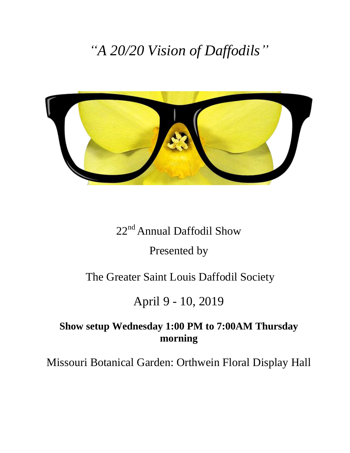# *"A 20/20 Vision of Daffodils"*



# 22<sup>nd</sup> Annual Daffodil Show

## Presented by

## The Greater Saint Louis Daffodil Society

# April 9 - 10, 2019

## **Show setup Wednesday 1:00 PM to 7:00AM Thursday morning**

Missouri Botanical Garden: Orthwein Floral Display Hall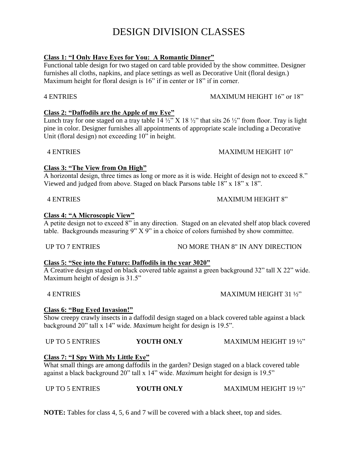## DESIGN DIVISION CLASSES

#### **Class 1: "I Only Have Eyes for You: A Romantic Dinner"**

Functional table design for two staged on card table provided by the show committee. Designer furnishes all cloths, napkins, and place settings as well as Decorative Unit (floral design.) Maximum height for floral design is 16" if in center or 18" if in corner.

#### 4 ENTRIES MAXIMUM HEIGHT 16" or 18"

### **Class 2: "Daffodils are the Apple of my Eye"**

Lunch tray for one staged on a tray table  $14\frac{1}{2}$  X 18  $\frac{1}{2}$  that sits 26  $\frac{1}{2}$  from floor. Tray is light pine in color. Designer furnishes all appointments of appropriate scale including a Decorative Unit (floral design) not exceeding 10" in height.

### 4 ENTRIES MAXIMUM HEIGHT 10"

#### **Class 3: "The View from On High"**

A horizontal design, three times as long or more as it is wide. Height of design not to exceed 8." Viewed and judged from above. Staged on black Parsons table 18" x 18" x 18".

#### 4 ENTRIES MAXIMUM HEIGHT 8"

#### **Class 4: "A Microscopic View"**

A petite design not to exceed 8" in any direction. Staged on an elevated shelf atop black covered table. Backgrounds measuring 9" X 9" in a choice of colors furnished by show committee.

#### UP TO 7 ENTRIES NO MORE THAN 8" IN ANY DIRECTION

#### **Class 5: "See into the Future: Daffodils in the year 3020"**

A Creative design staged on black covered table against a green background 32" tall X 22" wide. Maximum height of design is 31.5"

#### 4 ENTRIES MAXIMUM HEIGHT 31 ½"

#### **Class 6: "Bug Eyed Invasion!"**

Show creepy crawly insects in a daffodil design staged on a black covered table against a black background 20" tall x 14" wide. *Maximum* height for design is 19.5".

#### UP TO 5 ENTRIES **YOUTH ONLY** MAXIMUM HEIGHT 19 ½"

#### **Class 7: "I Spy With My Little Eye"**

What small things are among daffodils in the garden? Design staged on a black covered table against a black background 20" tall x 14" wide. *Maximum* height for design is 19.5"

**NOTE:** Tables for class 4, 5, 6 and 7 will be covered with a black sheet, top and sides.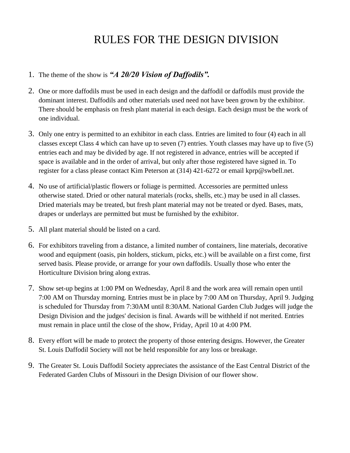# RULES FOR THE DESIGN DIVISION

#### 1. The theme of the show is *"A 20/20 Vision of Daffodils".*

- 2. One or more daffodils must be used in each design and the daffodil or daffodils must provide the dominant interest. Daffodils and other materials used need not have been grown by the exhibitor. There should be emphasis on fresh plant material in each design. Each design must be the work of one individual.
- 3. Only one entry is permitted to an exhibitor in each class. Entries are limited to four (4) each in all classes except Class 4 which can have up to seven (7) entries. Youth classes may have up to five (5) entries each and may be divided by age. If not registered in advance, entries will be accepted if space is available and in the order of arrival, but only after those registered have signed in. To register for a class please contact Kim Peterson at (314) 421-6272 or email kprp@swbell.net.
- 4. No use of artificial/plastic flowers or foliage is permitted. Accessories are permitted unless otherwise stated. Dried or other natural materials (rocks, shells, etc.) may be used in all classes. Dried materials may be treated, but fresh plant material may not be treated or dyed. Bases, mats, drapes or underlays are permitted but must be furnished by the exhibitor.
- 5. All plant material should be listed on a card.
- 6. For exhibitors traveling from a distance, a limited number of containers, line materials, decorative wood and equipment (oasis, pin holders, stickum, picks, etc.) will be available on a first come, first served basis. Please provide, or arrange for your own daffodils. Usually those who enter the Horticulture Division bring along extras.
- 7. Show set-up begins at 1:00 PM on Wednesday, April 8 and the work area will remain open until 7:00 AM on Thursday morning. Entries must be in place by 7:00 AM on Thursday, April 9. Judging is scheduled for Thursday from 7:30AM until 8:30AM. National Garden Club Judges will judge the Design Division and the judges' decision is final. Awards will be withheld if not merited. Entries must remain in place until the close of the show, Friday, April 10 at 4:00 PM.
- 8. Every effort will be made to protect the property of those entering designs. However, the Greater St. Louis Daffodil Society will not be held responsible for any loss or breakage.
- 9. The Greater St. Louis Daffodil Society appreciates the assistance of the East Central District of the Federated Garden Clubs of Missouri in the Design Division of our flower show.